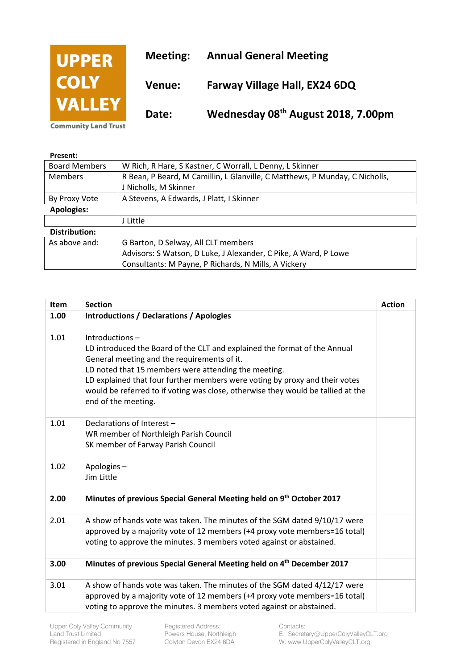

| Present:             |                                                                             |
|----------------------|-----------------------------------------------------------------------------|
| <b>Board Members</b> | W Rich, R Hare, S Kastner, C Worrall, L Denny, L Skinner                    |
| <b>Members</b>       | R Bean, P Beard, M Camillin, L Glanville, C Matthews, P Munday, C Nicholls, |
|                      | J Nicholls, M Skinner                                                       |
| By Proxy Vote        | A Stevens, A Edwards, J Platt, I Skinner                                    |
| <b>Apologies:</b>    |                                                                             |
|                      | J Little                                                                    |
| <b>Distribution:</b> |                                                                             |
| As above and:        | G Barton, D Selway, All CLT members                                         |
|                      | Advisors: S Watson, D Luke, J Alexander, C Pike, A Ward, P Lowe             |
|                      | Consultants: M Payne, P Richards, N Mills, A Vickery                        |

| Item | <b>Section</b>                                                                                                                                                                                                                                                                                                                                                                               | <b>Action</b> |
|------|----------------------------------------------------------------------------------------------------------------------------------------------------------------------------------------------------------------------------------------------------------------------------------------------------------------------------------------------------------------------------------------------|---------------|
| 1.00 | <b>Introductions / Declarations / Apologies</b>                                                                                                                                                                                                                                                                                                                                              |               |
| 1.01 | Introductions-<br>LD introduced the Board of the CLT and explained the format of the Annual<br>General meeting and the requirements of it.<br>LD noted that 15 members were attending the meeting.<br>LD explained that four further members were voting by proxy and their votes<br>would be referred to if voting was close, otherwise they would be tallied at the<br>end of the meeting. |               |
| 1.01 | Declarations of Interest -<br>WR member of Northleigh Parish Council<br>SK member of Farway Parish Council                                                                                                                                                                                                                                                                                   |               |
| 1.02 | Apologies-<br>Jim Little                                                                                                                                                                                                                                                                                                                                                                     |               |
| 2.00 | Minutes of previous Special General Meeting held on 9th October 2017                                                                                                                                                                                                                                                                                                                         |               |
| 2.01 | A show of hands vote was taken. The minutes of the SGM dated 9/10/17 were<br>approved by a majority vote of 12 members (+4 proxy vote members=16 total)<br>voting to approve the minutes. 3 members voted against or abstained.                                                                                                                                                              |               |
| 3.00 | Minutes of previous Special General Meeting held on 4 <sup>th</sup> December 2017                                                                                                                                                                                                                                                                                                            |               |
| 3.01 | A show of hands vote was taken. The minutes of the SGM dated 4/12/17 were<br>approved by a majority vote of 12 members (+4 proxy vote members=16 total)<br>voting to approve the minutes. 3 members voted against or abstained.                                                                                                                                                              |               |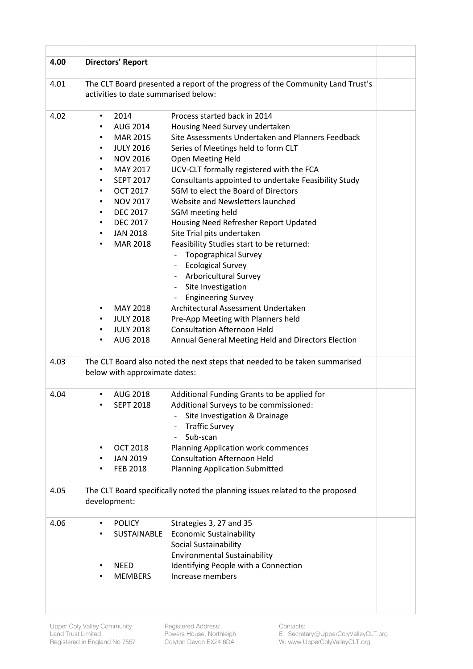| 4.00 |           | <b>Directors' Report</b>             |                                                                                |  |
|------|-----------|--------------------------------------|--------------------------------------------------------------------------------|--|
| 4.01 |           | activities to date summarised below: | The CLT Board presented a report of the progress of the Community Land Trust's |  |
| 4.02 | ٠         | 2014                                 | Process started back in 2014                                                   |  |
|      |           | AUG 2014                             | Housing Need Survey undertaken                                                 |  |
|      | ٠         | <b>MAR 2015</b>                      | Site Assessments Undertaken and Planners Feedback                              |  |
|      | ٠         | <b>JULY 2016</b>                     | Series of Meetings held to form CLT                                            |  |
|      | ٠         | <b>NOV 2016</b>                      | Open Meeting Held                                                              |  |
|      | ٠         | MAY 2017                             | UCV-CLT formally registered with the FCA                                       |  |
|      | ٠         | <b>SEPT 2017</b>                     | Consultants appointed to undertake Feasibility Study                           |  |
|      | ٠         | <b>OCT 2017</b>                      | SGM to elect the Board of Directors                                            |  |
|      | ٠         | <b>NOV 2017</b>                      | Website and Newsletters launched                                               |  |
|      | ٠         | <b>DEC 2017</b>                      | SGM meeting held                                                               |  |
|      | ٠         | <b>DEC 2017</b>                      | Housing Need Refresher Report Updated                                          |  |
|      | ٠         | <b>JAN 2018</b>                      | Site Trial pits undertaken                                                     |  |
|      | ٠         | <b>MAR 2018</b>                      | Feasibility Studies start to be returned:                                      |  |
|      |           |                                      | Topographical Survey                                                           |  |
|      |           |                                      | <b>Ecological Survey</b>                                                       |  |
|      |           |                                      | Arboricultural Survey                                                          |  |
|      |           |                                      | Site Investigation<br>$\overline{\phantom{a}}$                                 |  |
|      |           |                                      | <b>Engineering Survey</b><br>$\qquad \qquad \blacksquare$                      |  |
|      | ٠         | MAY 2018                             | Architectural Assessment Undertaken                                            |  |
|      |           | <b>JULY 2018</b>                     | Pre-App Meeting with Planners held                                             |  |
|      |           | <b>JULY 2018</b>                     | <b>Consultation Afternoon Held</b>                                             |  |
|      |           | AUG 2018                             | Annual General Meeting Held and Directors Election                             |  |
| 4.03 |           | below with approximate dates:        | The CLT Board also noted the next steps that needed to be taken summarised     |  |
| 4.04 | $\bullet$ | AUG 2018                             | Additional Funding Grants to be applied for                                    |  |
|      |           | <b>SEPT 2018</b>                     | Additional Surveys to be commissioned:                                         |  |
|      |           |                                      | Site Investigation & Drainage                                                  |  |
|      |           |                                      | <b>Traffic Survey</b>                                                          |  |
|      |           |                                      | Sub-scan                                                                       |  |
|      |           | <b>OCT 2018</b>                      | <b>Planning Application work commences</b>                                     |  |
|      |           | <b>JAN 2019</b>                      | <b>Consultation Afternoon Held</b>                                             |  |
|      |           | <b>FEB 2018</b>                      | <b>Planning Application Submitted</b>                                          |  |
| 4.05 |           |                                      | The CLT Board specifically noted the planning issues related to the proposed   |  |
|      |           | development:                         |                                                                                |  |
| 4.06 |           | <b>POLICY</b>                        |                                                                                |  |
|      |           | SUSTAINABLE                          | Strategies 3, 27 and 35<br><b>Economic Sustainability</b>                      |  |
|      |           |                                      | Social Sustainability                                                          |  |
|      |           |                                      | <b>Environmental Sustainability</b>                                            |  |
|      |           | <b>NEED</b>                          |                                                                                |  |
|      |           |                                      | Identifying People with a Connection<br>Increase members                       |  |
|      |           | <b>MEMBERS</b>                       |                                                                                |  |
|      |           |                                      |                                                                                |  |
|      |           |                                      |                                                                                |  |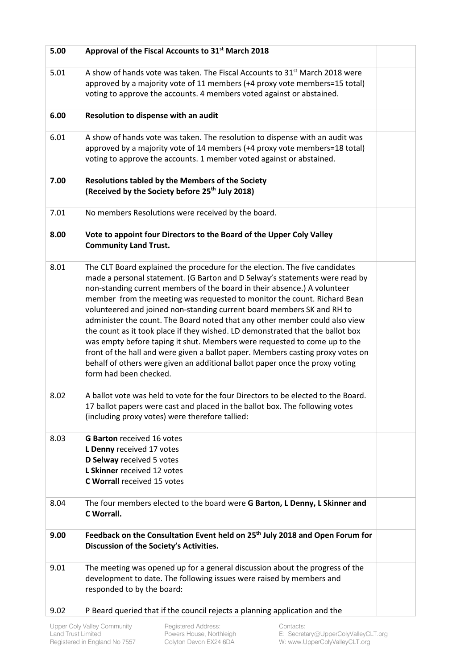| 5.00 | Approval of the Fiscal Accounts to 31 <sup>st</sup> March 2018                                                                                                                                                                                                                                                                                                                                                                                                                                                                                                                                                                                                                                                                                                                                                                          |  |
|------|-----------------------------------------------------------------------------------------------------------------------------------------------------------------------------------------------------------------------------------------------------------------------------------------------------------------------------------------------------------------------------------------------------------------------------------------------------------------------------------------------------------------------------------------------------------------------------------------------------------------------------------------------------------------------------------------------------------------------------------------------------------------------------------------------------------------------------------------|--|
| 5.01 | A show of hands vote was taken. The Fiscal Accounts to 31 <sup>st</sup> March 2018 were<br>approved by a majority vote of 11 members (+4 proxy vote members=15 total)<br>voting to approve the accounts. 4 members voted against or abstained.                                                                                                                                                                                                                                                                                                                                                                                                                                                                                                                                                                                          |  |
| 6.00 | Resolution to dispense with an audit                                                                                                                                                                                                                                                                                                                                                                                                                                                                                                                                                                                                                                                                                                                                                                                                    |  |
| 6.01 | A show of hands vote was taken. The resolution to dispense with an audit was<br>approved by a majority vote of 14 members (+4 proxy vote members=18 total)<br>voting to approve the accounts. 1 member voted against or abstained.                                                                                                                                                                                                                                                                                                                                                                                                                                                                                                                                                                                                      |  |
| 7.00 | <b>Resolutions tabled by the Members of the Society</b><br>(Received by the Society before 25 <sup>th</sup> July 2018)                                                                                                                                                                                                                                                                                                                                                                                                                                                                                                                                                                                                                                                                                                                  |  |
| 7.01 | No members Resolutions were received by the board.                                                                                                                                                                                                                                                                                                                                                                                                                                                                                                                                                                                                                                                                                                                                                                                      |  |
| 8.00 | Vote to appoint four Directors to the Board of the Upper Coly Valley<br><b>Community Land Trust.</b>                                                                                                                                                                                                                                                                                                                                                                                                                                                                                                                                                                                                                                                                                                                                    |  |
| 8.01 | The CLT Board explained the procedure for the election. The five candidates<br>made a personal statement. (G Barton and D Selway's statements were read by<br>non-standing current members of the board in their absence.) A volunteer<br>member from the meeting was requested to monitor the count. Richard Bean<br>volunteered and joined non-standing current board members SK and RH to<br>administer the count. The Board noted that any other member could also view<br>the count as it took place if they wished. LD demonstrated that the ballot box<br>was empty before taping it shut. Members were requested to come up to the<br>front of the hall and were given a ballot paper. Members casting proxy votes on<br>behalf of others were given an additional ballot paper once the proxy voting<br>form had been checked. |  |
| 8.02 | A ballot vote was held to vote for the four Directors to be elected to the Board.<br>17 ballot papers were cast and placed in the ballot box. The following votes<br>(including proxy votes) were therefore tallied:                                                                                                                                                                                                                                                                                                                                                                                                                                                                                                                                                                                                                    |  |
| 8.03 | <b>G Barton received 16 votes</b><br>L Denny received 17 votes<br>D Selway received 5 votes<br>L Skinner received 12 votes<br><b>C Worrall received 15 votes</b>                                                                                                                                                                                                                                                                                                                                                                                                                                                                                                                                                                                                                                                                        |  |
| 8.04 | The four members elected to the board were G Barton, L Denny, L Skinner and<br>C Worrall.                                                                                                                                                                                                                                                                                                                                                                                                                                                                                                                                                                                                                                                                                                                                               |  |
| 9.00 | Feedback on the Consultation Event held on 25 <sup>th</sup> July 2018 and Open Forum for<br>Discussion of the Society's Activities.                                                                                                                                                                                                                                                                                                                                                                                                                                                                                                                                                                                                                                                                                                     |  |
| 9.01 | The meeting was opened up for a general discussion about the progress of the<br>development to date. The following issues were raised by members and<br>responded to by the board:                                                                                                                                                                                                                                                                                                                                                                                                                                                                                                                                                                                                                                                      |  |
| 9.02 | P Beard queried that if the council rejects a planning application and the                                                                                                                                                                                                                                                                                                                                                                                                                                                                                                                                                                                                                                                                                                                                                              |  |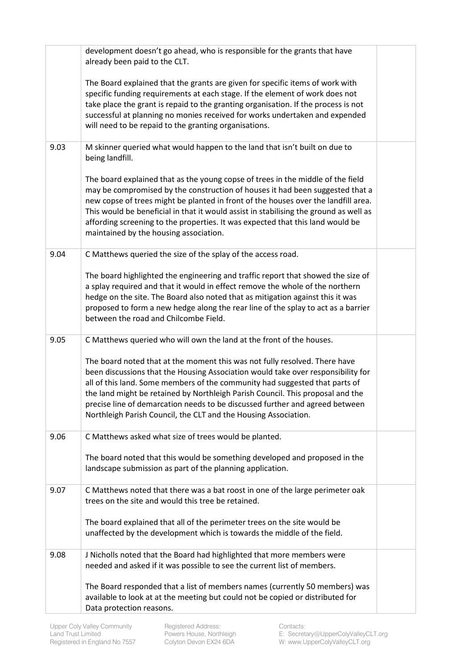|      | development doesn't go ahead, who is responsible for the grants that have<br>already been paid to the CLT.                                                                                                                                                                                                                                                                                                                                                                         |  |
|------|------------------------------------------------------------------------------------------------------------------------------------------------------------------------------------------------------------------------------------------------------------------------------------------------------------------------------------------------------------------------------------------------------------------------------------------------------------------------------------|--|
|      | The Board explained that the grants are given for specific items of work with<br>specific funding requirements at each stage. If the element of work does not<br>take place the grant is repaid to the granting organisation. If the process is not<br>successful at planning no monies received for works undertaken and expended<br>will need to be repaid to the granting organisations.                                                                                        |  |
| 9.03 | M skinner queried what would happen to the land that isn't built on due to<br>being landfill.                                                                                                                                                                                                                                                                                                                                                                                      |  |
|      | The board explained that as the young copse of trees in the middle of the field<br>may be compromised by the construction of houses it had been suggested that a<br>new copse of trees might be planted in front of the houses over the landfill area.<br>This would be beneficial in that it would assist in stabilising the ground as well as<br>affording screening to the properties. It was expected that this land would be<br>maintained by the housing association.        |  |
| 9.04 | C Matthews queried the size of the splay of the access road.                                                                                                                                                                                                                                                                                                                                                                                                                       |  |
|      | The board highlighted the engineering and traffic report that showed the size of<br>a splay required and that it would in effect remove the whole of the northern<br>hedge on the site. The Board also noted that as mitigation against this it was<br>proposed to form a new hedge along the rear line of the splay to act as a barrier<br>between the road and Chilcombe Field.                                                                                                  |  |
| 9.05 | C Matthews queried who will own the land at the front of the houses.                                                                                                                                                                                                                                                                                                                                                                                                               |  |
|      | The board noted that at the moment this was not fully resolved. There have<br>been discussions that the Housing Association would take over responsibility for<br>all of this land. Some members of the community had suggested that parts of<br>the land might be retained by Northleigh Parish Council. This proposal and the<br>precise line of demarcation needs to be discussed further and agreed between<br>Northleigh Parish Council, the CLT and the Housing Association. |  |
| 9.06 | C Matthews asked what size of trees would be planted.                                                                                                                                                                                                                                                                                                                                                                                                                              |  |
|      | The board noted that this would be something developed and proposed in the<br>landscape submission as part of the planning application.                                                                                                                                                                                                                                                                                                                                            |  |
| 9.07 | C Matthews noted that there was a bat roost in one of the large perimeter oak<br>trees on the site and would this tree be retained.                                                                                                                                                                                                                                                                                                                                                |  |
|      | The board explained that all of the perimeter trees on the site would be<br>unaffected by the development which is towards the middle of the field.                                                                                                                                                                                                                                                                                                                                |  |
| 9.08 | J Nicholls noted that the Board had highlighted that more members were<br>needed and asked if it was possible to see the current list of members.                                                                                                                                                                                                                                                                                                                                  |  |
|      | The Board responded that a list of members names (currently 50 members) was                                                                                                                                                                                                                                                                                                                                                                                                        |  |
|      | available to look at at the meeting but could not be copied or distributed for<br>Data protection reasons.                                                                                                                                                                                                                                                                                                                                                                         |  |